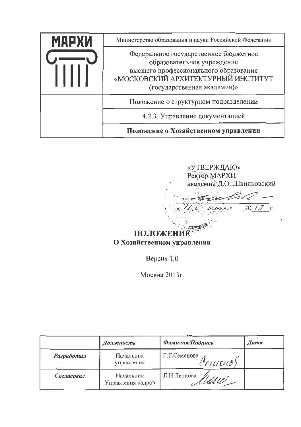| МАРХИ | Министерство образования и науки Российской Федерации                                                                                                                             |
|-------|-----------------------------------------------------------------------------------------------------------------------------------------------------------------------------------|
|       | Федеральное государственное бюджетное<br>образовательное учреждение<br>высшего профессионального образования<br>«МОСКОВСКИЙ АРХИТЕКТУРНЫЙ ИНСТИТУТ<br>(государственная академия)» |
|       | Положение о структурном подразделении                                                                                                                                             |
|       | 4.2.3. Управление документацией                                                                                                                                                   |
|       | Положение о Хозяйственном управлении                                                                                                                                              |

«УТВЕРЖДАЮ» Ректор МАРХИ академик Д.О. Швидковский

 $rac{f_{col}}{w_{univ}-2013}$  $76.8$ 

ПОЛОЖЕНИЕ О Хозяйственном управлении

Версия 1.0

Москва 2013г.

|            | Должность                      | Фамилия/Подпись                                                                     | <b><i>Aama</i></b> |
|------------|--------------------------------|-------------------------------------------------------------------------------------|--------------------|
| Разработал | Начальник<br>управления        | Г.Г.Семенова<br>$\langle 'e \iota \iota \iota \epsilon \iota \iota \delta' \rangle$ |                    |
| Согласовал | Начальник<br>Управления кадров | Л.Н.Леонова<br>ulle                                                                 |                    |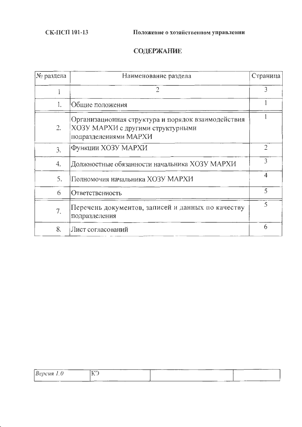СК-ПСП 101-13

# **СОДЕРЖАНИЕ**

| № раздела        | Наименование раздела                                                                                             | Страница       |
|------------------|------------------------------------------------------------------------------------------------------------------|----------------|
|                  | $\overline{2}$                                                                                                   | 3              |
| 1.               | Общие положения                                                                                                  |                |
| 2.               | Организационная структура и порядок взаимодействия<br>ХОЗУ МАРХИ с другими структурными<br>подразделениями МАРХИ |                |
| $\mathfrak{Z}$ . | Функции ХОЗУ МАРХИ                                                                                               | $\overline{2}$ |
| 4.               | Должностные обязанности начальника ХОЗУ МАРХИ                                                                    | 3              |
| 5.               | Полномочия начальника ХОЗУ МАРХИ                                                                                 | 4              |
| 6                | Ответственность                                                                                                  | 5              |
| 7.               | Перечень документов, записей и данных по качеству<br>подразделения                                               | 5              |
| 8.               | Лист согласований                                                                                                | 6              |

| $Bepc$ ия 1.0 | ----<br>_______<br>エニア<br>к | ----- |  |
|---------------|-----------------------------|-------|--|
|               | --                          |       |  |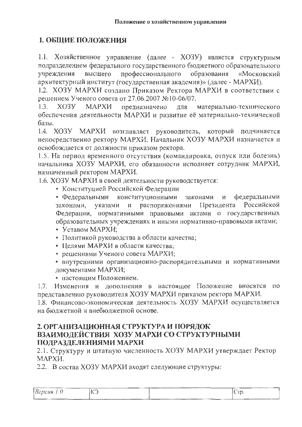## 1. ОБЩИЕ ПОЛОЖЕНИЯ

1.1. Хозяйственное управление (далее - ХОЗУ) является структурным подразделением федерального государственного бюджетного образовательного учреждения высшего профессионального образования «Московский архитектурный институт (государственная академия)» (далее - МАРХИ).

1.2. ХОЗУ МАРХИ создано Приказом Ректора МАРХИ в соответствии с решением Ученого совета от 27.06.2007 №10-06/07.

 $XO3V$ **MAPXH** материально-технического  $1.3.$ предназначено RLL обеспечения деятельности МАРХИ и развитие её материально-технической базы.

1.4. ХОЗУ МАРХИ возглавляет руководитель, который подчиняется непосредственно ректору МАРХИ. Начальник ХОЗУ МАРХИ назначается и освобождается от должности приказом ректора.

1.5. На период временного отсутствия (командировка, отпуск или болезнь) начальника ХОЗУ МАРХИ, его обязанности исполняет сотрудник МАРХИ, назначенный ректором МАРХИ.

1.6. ХОЗУ МАРХИ в своей деятельности руководствуется:

• Конституцией Российской Федерации

• Федеральными конституционными законами и федеральными законами, указами и распоряжениями Президента Российской Федерации, нормативными правовыми актами о государственных образовательных учреждениях и иными нормативно-правовыми актами;

- Уставом МАРХИ:
- Политикой руководства в области качества;
- Целями МАРХИ в области качества;
- решениями Ученого совета МАРХИ;
- внутренними организационно-распорядительными и нормативными документами МАРХИ;
- настоящим Положением.

1.7. Изменения и дополнения в настоящее Положение вносятся по представлению руководителя ХОЗУ МАРХИ приказом ректора МАРХИ.

1.8. Финансово-экономическая деятельность ХОЗУ МАРХИ осуществляется на бюлжетной и внебюлжетной основе.

### 2. ОРГАНИЗАЦИОННАЯ СТРУКТУРА И ПОРЯДОК ВЗАИМОДЕЙСТВИЯ ХОЗУ МАРХИ СО СТРУКТУРНЫМИ ПОДРАЗДЕЛЕНИЯМИ МАРХИ

2.1. Структуру и штатную численность ХОЗУ МАРХИ утверждает Ректор МАРХИ.

2.2. В состав ХОЗУ МАРХИ входят следующие структуры:

| ----      | ---- | ---  |
|-----------|------|------|
| Bepcus1.0 | Έ    | Cup. |
|           |      |      |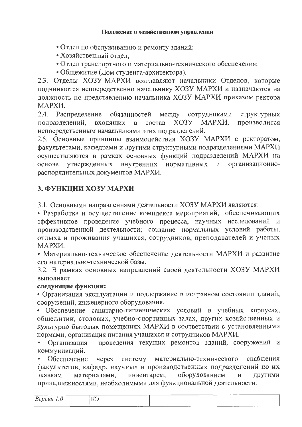#### Положение о хозяйственном управлении

- Отдел по обслуживанию и ремонту зданий;
- Хозяйственный отдел;
- Отдел транспортного и материально-технического обеспечения;
- Общежитие (Дом студента-архитектора).

2.3. Отделы ХОЗУ МАРХИ возглавляют начальники Отделов, которые подчиняются непосредственно начальнику ХОЗУ МАРХИ и назначаются на должность по представлению начальника ХОЗУ МАРХИ приказом ректора МАРХИ.

2.4. Распределение обязанностей структурных между сотрудниками МАРХИ. производится подразделений.  $XO<sub>3</sub>Y$ входящих  $\mathbf{B}$ состав непосредственным начальниками этих подразделений.

2.5. Основные принципы взаимодействия ХОЗУ МАРХИ с ректоратом, факультетами, кафедрами и другими структурными подразделениями МАРХИ осуществляются в рамках основных функций подразделений МАРХИ на и организационновнутренних нормативных основе утвержденных распорядительных документов МАРХИ.

### 3. ФУНКЦИИ ХОЗУ МАРХИ

3.1. Основными направлениями деятельности ХОЗУ МАРХИ являются:

• Разработка и осуществление комплекса мероприятий, обеспечивающих эффективное проведение учебного процесса, научных исследований и производственной деятельности; создание нормальных условий работы, отдыха и проживания учащихся, сотрудников, преподавателей и ученых МАРХИ.

• Материально-техническое обеспечение деятельности МАРХИ и развитие его материально-технической базы.

3.2. В рамках основных направлений своей деятельности ХОЗУ МАРХИ выполняет

### следующие функции:

• Организация эксплуатации и поддержание в исправном состоянии зданий, сооружений, инженерного оборудования.

• Обеспечение санитарно-гигиенических условий в учебных корпусах, общежитии, столовых, учебно-спортивных залах, других хозяйственных и культурно-бытовых помещениях МАРХИ в соответствии с установленными нормами, организация питания учащихся и сотрудников МАРХИ.

проведения текущих ремонтов зданий, сооружений и • Организация коммуникаций.

через систему материально-технического снабжения Обеспечение факультетов, кафедр, научных и производственных подразделений по их другими оборудованием материалами, инвентарем, И заявкам принадлежностями, необходимыми для функциональной деятельности.

| $DEPL$ $U$ | -------<br>___<br>TCT<br>$\sim$ | ___ | ----                       |
|------------|---------------------------------|-----|----------------------------|
|            | ________<br>____                |     | _______<br>______<br>_____ |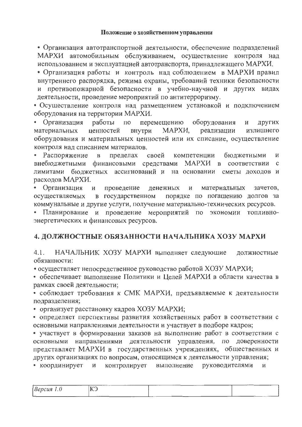• Организация автотранспортной деятельности, обеспечение подразделений МАРХИ автомобильным обслуживанием, осуществление контроля над использованием и эксплуатацией автотранспорта, принадлежащего МАРХИ.

• Организация работы и контроль над соблюдением в МАРХИ правил внутреннего распорядка, режима охраны, требований техники безопасности и противопожарной безопасности в учебно-научной и других видах деятельности, проведение мероприятий по антитерроризму.

• Осуществление контроля над размещением установкой и подключением оборудования на территории МАРХИ.

• Организация перемещению работы  $\Pi$ <sup>o</sup> оборудования  $\mathbf{H}$ ДРУГИХ материальных МАРХИ, реализации ценностей внутри излишнего оборудования и материальных ценностей или их списание, осуществление контроля над списанием материалов.

• Распоряжение пределах  $\mathbf{B}$ своей компетенции бюджетными И внебюджетными финансовыми средствами МАРХИ в соответствии  $\mathbf{C}$ лимитами бюджетных ассигнований и на основании сметы доходов и расходов МАРХИ.

проведение • Организация  $\mathbf{H}$ денежных И материальных зачетов. осуществляемых в государственном порядке по погашению долгов за коммунальные и другие услуги, получение материально-технических ресурсов.

• Планирование и проведение мероприятий по экономии топливноэнергетических и финансовых ресурсов.

### 4. ДОЛЖНОСТНЫЕ ОБЯЗАННОСТИ НАЧАЛЬНИКА ХОЗУ МАРХИ

 $4.1.$ НАЧАЛЬНИК ХОЗУ МАРХИ выполняет следующие должностные обязанности:

• осуществляет непосредственное руководство работой ХОЗУ МАРХИ;

• обеспечивает выполнение Политики и Целей МАРХИ в области качества в рамках своей деятельности;

• соблюдает требования к СМК МАРХИ, предъявляемые к деятельности подразделения;

• организует расстановку кадров ХОЗУ МАРХИ;

• определяет перспективы развития хозяйственных работ в соответствии с основными направлениями деятельности и участвует в подборе кадров;

• участвует в формировании заказов на выполнение работ в соответствии с основными направлениями деятельности управления, по доверенности представляет МАРХИ в государственных учреждениях, общественных и других организациях по вопросам, относящимся к деятельности управления;

• координирует контролирует руководителями выполнение И  $\overline{M}$ 

| ----<br>------<br>$\mu$ epc<br>,,,, | ________<br><b>Construction of the construction</b><br>TAT<br>エイ・ヘ | ----<br>______ |  |
|-------------------------------------|--------------------------------------------------------------------|----------------|--|
|                                     |                                                                    |                |  |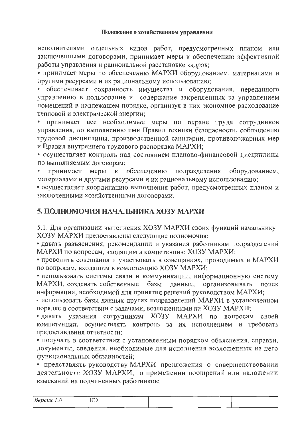исполнителями отдельных видов работ, предусмотренных планом или заключенными договорами, принимает меры к обеспечению эффективной работы управления и рациональной расстановке кадров;

• принимает меры по обеспечению МАРХИ оборудованием, материалами и другими ресурсами и их рациональному использованию;

• обеспечивает сохранность имущества и оборудования, переданного управлению в пользование и содержание закрепленных за управлением помещений в надлежащем порядке, организуя в них экономное расходование тепловой и электрической энергии;

принимает все необходимые меры по охране труда сотрудников  $\bullet$  . управления, по выполнению ими Правил техники безопасности, соблюдению трудовой дисциплины, производственной санитарии, противопожарных мер и Правил внутреннего трудового распорядка МАРХИ;

• осуществляет контроль над состоянием планово-финансовой дисциплины по выполняемым договорам;

обеспечению подразделения оборудованием, принимает меры  $\bf K$ материалами и другими ресурсами и их рациональному использованию;

• осуществляет координацию выполнения работ, предусмотренных планом и заключенными хозяйственными договорами.

## 5. ПОЛНОМОЧИЯ НАЧАЛЬНИКА ХОЗУ МАРХИ

5.1. Для организации выполнения ХОЗУ МАРХИ своих функций начальнику ХОЗУ МАРХИ предоставлены следующие полномочия:

• давать разъяснения, рекомендации и указания работникам подразделений МАРХИ по вопросам, входящим в компетенцию ХОЗУ МАРХИ;

• проводить совещания и участвовать в совещаниях, проводимых в МАРХИ по вопросам, входящим в компетенцию ХОЗУ МАРХИ;

• использовать системы связи и коммуникации, информационную систему МАРХИ, создавать собственные базы данных, организовывать поиск информации, необходимой для принятия решений руководством МАРХИ;

• использовать базы данных других подразделений МАРХИ в установленном порядке в соответствии с задачами, возложенными на ХОЗУ МАРХИ;

• давать указания сотрудникам ХОЗУ МАРХИ по вопросам своей компетенции, осуществлять контроль за их исполнением и требовать предоставления отчетности;

• получать в соответствии с установленным порядком объяснения, справки, документы, сведения, необходимые для исполнения возложенных на него функциональных обязанностей;

• представлять руководству МАРХИ предложения о совершенствовании деятельности ХОЗУ МАРХИ, о применении поощрений или наложении взысканий на подчиненных работников;

| $\sqrt{2}$<br>Вe<br>псия<br>1.0 | ----<br>_______<br>______<br>$T = T$<br>$\sim$ | and the contract of the contract of<br>----<br><b>The Company of the Company's Company's</b><br>_______ | ----- |
|---------------------------------|------------------------------------------------|---------------------------------------------------------------------------------------------------------|-------|
|                                 | ----                                           | _____                                                                                                   |       |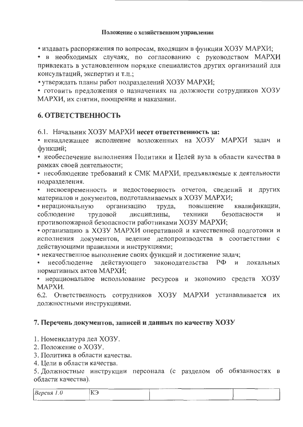• издавать распоряжения по вопросам, входящим в функции ХОЗУ МАРХИ;

• в необходимых случаях, по согласованию с руководством МАРХИ привлекать в установленном порядке специалистов других организаций для консультаций, экспертиз и т.п.;

• утверждать планы работ подразделений ХОЗУ МАРХИ;

• готовить предложения о назначениях на должности сотрудников ХОЗУ МАРХИ, их снятии, поощрении и наказании.

### **6. ОТВЕТСТВЕННОСТЬ**

6.1. Начальник ХОЗУ МАРХИ несет ответственность за:

• неналлежашее исполнение возложенных на ХОЗУ МАРХИ задач и функций;

• необеспечение выполнения Политики и Целей вуза в области качества в рамках своей деятельности;

• несоблюдение требований к СМК МАРХИ, предъявляемые к деятельности подразделения.

• несвоевременность и недостоверность отчетов, сведений и других материалов и документов, подготавливаемых в ХОЗУ МАРХИ;

• нерациональную организацию квалификации, труда, повышение соблюдение дисциплины, безопасности трудовой техники И противопожарной безопасности работниками ХОЗУ МАРХИ;

• организацию в ХОЗУ МАРХИ оперативной и качественной подготовки и исполнения документов, ведение делопроизводства в соответствии с действующими правилами и инструкциями;

• некачественное выполнение своих функций и достижение задач;

несоблюдение действующего законодательства  $P\Phi$ И локальных нормативных актов МАРХИ;

• нерациональное использование ресурсов и экономию средств ХОЗУ МАРХИ.

6.2. Ответственность сотрудников ХОЗУ МАРХИ устанавливается их должностными инструкциями.

### 7. Перечень документов, записей и данных по качеству ХОЗУ

1. Номенклатура дел ХОЗУ.

2. Положение о ХОЗУ.

3. Политика в области качества.

4. Цели в области качества.

5. Должностные инструкции персонала (с разделом об обязанностях в области качества).

| BepcuA 1.0                    | ______<br>КЭ | ---  | ____           |  |
|-------------------------------|--------------|------|----------------|--|
| --------<br><u> Latinanum</u> |              | ---- | ------<br>____ |  |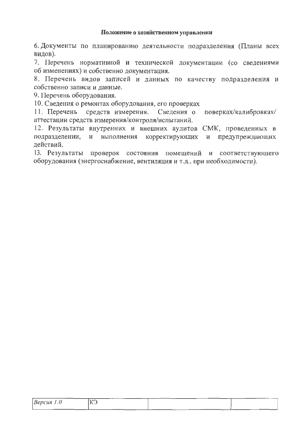#### Положение о хозяйственном управлении

6. Документы по планированию деятельности подразделения (Планы всех видов).

7. Перечень нормативной и технической документации (со сведениями об изменениях) и собственно документация.

8. Перечень видов записей и данных по качеству подразделения и собственно записи и данные.

9. Перечень оборудования.

10. Сведения о ремонтах оборудования, его проверках

11. Перечень средств измерения. Сведения о поверках/калибровках/ аттестации средств измерения/контроля/испытаний.

12. Результаты внутренних и внешних аудитов СМК, проведенных в подразделении, и выполнения корректирующих и предупреждающих действий.

13. Результаты проверок состояния помещений и соответствующего оборудования (энергоснабжение, вентиляция и т.д., при необходимости).

| ______                      | ---<br>__         |      |      | ------ | --- |
|-----------------------------|-------------------|------|------|--------|-----|
| $\beta$ ерсия 1.0<br>______ | TCT<br><br>$\sim$ | ____ | ---- |        |     |